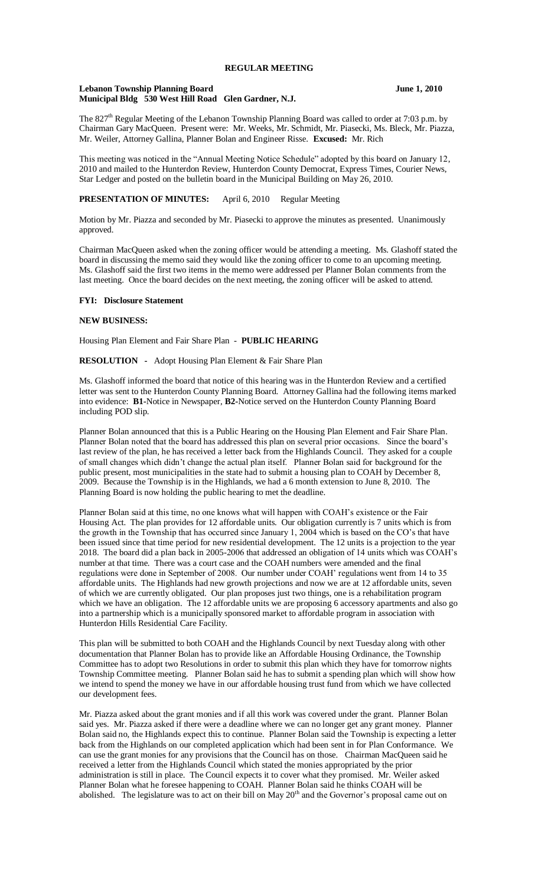# **REGULAR MEETING**

#### **Lebanon Township Planning Board June 1, 2010 Municipal Bldg 530 West Hill Road Glen Gardner, N.J.**

The 827<sup>th</sup> Regular Meeting of the Lebanon Township Planning Board was called to order at 7:03 p.m. by Chairman Gary MacQueen. Present were: Mr. Weeks, Mr. Schmidt, Mr. Piasecki, Ms. Bleck, Mr. Piazza, Mr. Weiler, Attorney Gallina, Planner Bolan and Engineer Risse. **Excused:** Mr. Rich

This meeting was noticed in the "Annual Meeting Notice Schedule" adopted by this board on January 12, 2010 and mailed to the Hunterdon Review, Hunterdon County Democrat, Express Times, Courier News, Star Ledger and posted on the bulletin board in the Municipal Building on May 26, 2010.

# **PRESENTATION OF MINUTES:** April 6, 2010 Regular Meeting

Motion by Mr. Piazza and seconded by Mr. Piasecki to approve the minutes as presented. Unanimously approved.

Chairman MacQueen asked when the zoning officer would be attending a meeting. Ms. Glashoff stated the board in discussing the memo said they would like the zoning officer to come to an upcoming meeting. Ms. Glashoff said the first two items in the memo were addressed per Planner Bolan comments from the last meeting. Once the board decides on the next meeting, the zoning officer will be asked to attend.

#### **FYI: Disclosure Statement**

#### **NEW BUSINESS:**

Housing Plan Element and Fair Share Plan - **PUBLIC HEARING**

**RESOLUTION -** Adopt Housing Plan Element & Fair Share Plan

Ms. Glashoff informed the board that notice of this hearing was in the Hunterdon Review and a certified letter was sent to the Hunterdon County Planning Board. Attorney Gallina had the following items marked into evidence: **B1-**Notice in Newspaper, **B2-**Notice served on the Hunterdon County Planning Board including POD slip.

Planner Bolan announced that this is a Public Hearing on the Housing Plan Element and Fair Share Plan. Planner Bolan noted that the board has addressed this plan on several prior occasions. Since the board's last review of the plan, he has received a letter back from the Highlands Council. They asked for a couple of small changes which didn't change the actual plan itself. Planner Bolan said for background for the public present, most municipalities in the state had to submit a housing plan to COAH by December 8, 2009. Because the Township is in the Highlands, we had a 6 month extension to June 8, 2010. The Planning Board is now holding the public hearing to met the deadline.

Planner Bolan said at this time, no one knows what will happen with COAH's existence or the Fair Housing Act. The plan provides for 12 affordable units. Our obligation currently is 7 units which is from the growth in the Township that has occurred since January 1, 2004 which is based on the CO's that have been issued since that time period for new residential development. The 12 units is a projection to the year 2018. The board did a plan back in 2005-2006 that addressed an obligation of 14 units which was COAH's number at that time. There was a court case and the COAH numbers were amended and the final regulations were done in September of 2008. Our number under COAH' regulations went from 14 to 35 affordable units. The Highlands had new growth projections and now we are at 12 affordable units, seven of which we are currently obligated. Our plan proposes just two things, one is a rehabilitation program which we have an obligation. The 12 affordable units we are proposing 6 accessory apartments and also go into a partnership which is a municipally sponsored market to affordable program in association with Hunterdon Hills Residential Care Facility.

This plan will be submitted to both COAH and the Highlands Council by next Tuesday along with other documentation that Planner Bolan has to provide like an Affordable Housing Ordinance, the Township Committee has to adopt two Resolutions in order to submit this plan which they have for tomorrow nights Township Committee meeting. Planner Bolan said he has to submit a spending plan which will show how we intend to spend the money we have in our affordable housing trust fund from which we have collected our development fees.

Mr. Piazza asked about the grant monies and if all this work was covered under the grant. Planner Bolan said yes. Mr. Piazza asked if there were a deadline where we can no longer get any grant money. Planner Bolan said no, the Highlands expect this to continue. Planner Bolan said the Township is expecting a letter back from the Highlands on our completed application which had been sent in for Plan Conformance. We can use the grant monies for any provisions that the Council has on those. Chairman MacQueen said he received a letter from the Highlands Council which stated the monies appropriated by the prior administration is still in place. The Council expects it to cover what they promised. Mr. Weiler asked Planner Bolan what he foresee happening to COAH. Planner Bolan said he thinks COAH will be abolished. The legislature was to act on their bill on May 20<sup>th</sup> and the Governor's proposal came out on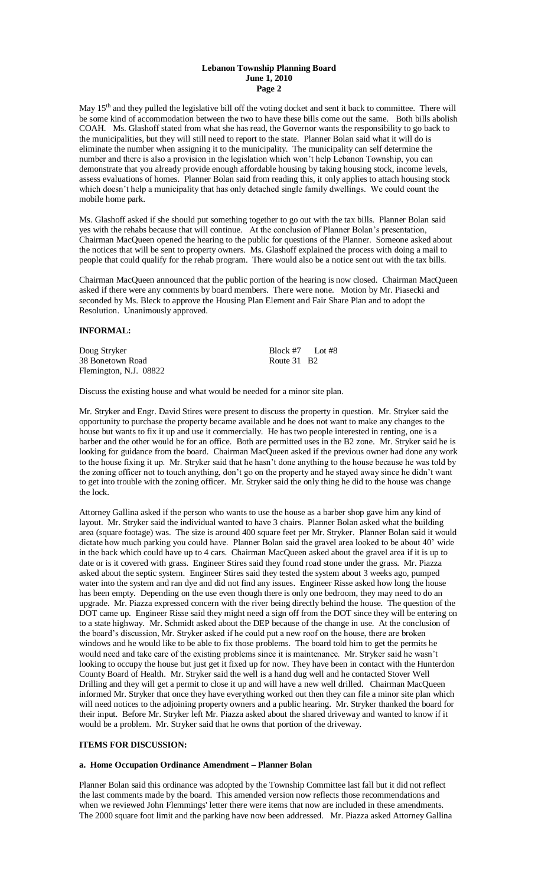### **Lebanon Township Planning Board June 1, 2010 Page 2**

May 15<sup>th</sup> and they pulled the legislative bill off the voting docket and sent it back to committee. There will be some kind of accommodation between the two to have these bills come out the same. Both bills abolish COAH. Ms. Glashoff stated from what she has read, the Governor wants the responsibility to go back to the municipalities, but they will still need to report to the state. Planner Bolan said what it will do is eliminate the number when assigning it to the municipality. The municipality can self determine the number and there is also a provision in the legislation which won't help Lebanon Township, you can demonstrate that you already provide enough affordable housing by taking housing stock, income levels, assess evaluations of homes. Planner Bolan said from reading this, it only applies to attach housing stock which doesn't help a municipality that has only detached single family dwellings. We could count the mobile home park.

Ms. Glashoff asked if she should put something together to go out with the tax bills. Planner Bolan said yes with the rehabs because that will continue. At the conclusion of Planner Bolan's presentation, Chairman MacQueen opened the hearing to the public for questions of the Planner. Someone asked about the notices that will be sent to property owners. Ms. Glashoff explained the process with doing a mail to people that could qualify for the rehab program. There would also be a notice sent out with the tax bills.

Chairman MacQueen announced that the public portion of the hearing is now closed. Chairman MacQueen asked if there were any comments by board members. There were none. Motion by Mr. Piasecki and seconded by Ms. Bleck to approve the Housing Plan Element and Fair Share Plan and to adopt the Resolution. Unanimously approved.

## **INFORMAL:**

Doug Stryker Block #7 Lot #8<br>38 Bonetown Road Route 31 B2 38 Bonetown Road Flemington, N.J. 08822

Discuss the existing house and what would be needed for a minor site plan.

Mr. Stryker and Engr. David Stires were present to discuss the property in question. Mr. Stryker said the opportunity to purchase the property became available and he does not want to make any changes to the house but wants to fix it up and use it commercially. He has two people interested in renting, one is a barber and the other would be for an office. Both are permitted uses in the B2 zone. Mr. Stryker said he is looking for guidance from the board. Chairman MacQueen asked if the previous owner had done any work to the house fixing it up. Mr. Stryker said that he hasn't done anything to the house because he was told by the zoning officer not to touch anything, don't go on the property and he stayed away since he didn't want to get into trouble with the zoning officer. Mr. Stryker said the only thing he did to the house was change the lock.

Attorney Gallina asked if the person who wants to use the house as a barber shop gave him any kind of layout. Mr. Stryker said the individual wanted to have 3 chairs. Planner Bolan asked what the building area (square footage) was. The size is around 400 square feet per Mr. Stryker. Planner Bolan said it would dictate how much parking you could have. Planner Bolan said the gravel area looked to be about 40' wide in the back which could have up to 4 cars. Chairman MacQueen asked about the gravel area if it is up to date or is it covered with grass. Engineer Stires said they found road stone under the grass. Mr. Piazza asked about the septic system. Engineer Stires said they tested the system about 3 weeks ago, pumped water into the system and ran dye and did not find any issues. Engineer Risse asked how long the house has been empty. Depending on the use even though there is only one bedroom, they may need to do an upgrade. Mr. Piazza expressed concern with the river being directly behind the house. The question of the DOT came up. Engineer Risse said they might need a sign off from the DOT since they will be entering on to a state highway. Mr. Schmidt asked about the DEP because of the change in use. At the conclusion of the board's discussion, Mr. Stryker asked if he could put a new roof on the house, there are broken windows and he would like to be able to fix those problems. The board told him to get the permits he would need and take care of the existing problems since it is maintenance. Mr. Stryker said he wasn't looking to occupy the house but just get it fixed up for now. They have been in contact with the Hunterdon County Board of Health. Mr. Stryker said the well is a hand dug well and he contacted Stover Well Drilling and they will get a permit to close it up and will have a new well drilled. Chairman MacQueen informed Mr. Stryker that once they have everything worked out then they can file a minor site plan which will need notices to the adjoining property owners and a public hearing. Mr. Stryker thanked the board for their input. Before Mr. Stryker left Mr. Piazza asked about the shared driveway and wanted to know if it would be a problem. Mr. Stryker said that he owns that portion of the driveway.

# **ITEMS FOR DISCUSSION:**

## **a. Home Occupation Ordinance Amendment – Planner Bolan**

Planner Bolan said this ordinance was adopted by the Township Committee last fall but it did not reflect the last comments made by the board. This amended version now reflects those recommendations and when we reviewed John Flemmings' letter there were items that now are included in these amendments. The 2000 square foot limit and the parking have now been addressed. Mr. Piazza asked Attorney Gallina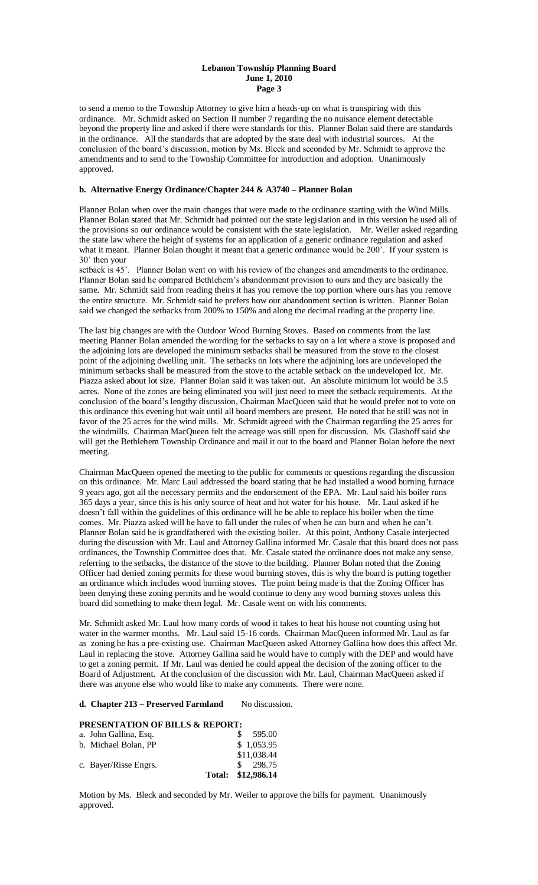#### **Lebanon Township Planning Board June 1, 2010 Page 3**

to send a memo to the Township Attorney to give him a heads-up on what is transpiring with this ordinance. Mr. Schmidt asked on Section II number 7 regarding the no nuisance element detectable beyond the property line and asked if there were standards for this. Planner Bolan said there are standards in the ordinance. All the standards that are adopted by the state deal with industrial sources. At the conclusion of the board's discussion, motion by Ms. Bleck and seconded by Mr. Schmidt to approve the amendments and to send to the Township Committee for introduction and adoption. Unanimously approved.

# **b. Alternative Energy Ordinance/Chapter 244 & A3740 – Planner Bolan**

Planner Bolan when over the main changes that were made to the ordinance starting with the Wind Mills. Planner Bolan stated that Mr. Schmidt had pointed out the state legislation and in this version he used all of the provisions so our ordinance would be consistent with the state legislation. Mr. Weiler asked regarding the state law where the height of systems for an application of a generic ordinance regulation and asked what it meant. Planner Bolan thought it meant that a generic ordinance would be 200<sup>'</sup>. If your system is 30' then your

setback is 45'. Planner Bolan went on with his review of the changes and amendments to the ordinance. Planner Bolan said he compared Bethlehem's abandonment provision to ours and they are basically the same. Mr. Schmidt said from reading theirs it has you remove the top portion where ours has you remove the entire structure. Mr. Schmidt said he prefers how our abandonment section is written. Planner Bolan said we changed the setbacks from 200% to 150% and along the decimal reading at the property line.

The last big changes are with the Outdoor Wood Burning Stoves. Based on comments from the last meeting Planner Bolan amended the wording for the setbacks to say on a lot where a stove is proposed and the adjoining lots are developed the minimum setbacks shall be measured from the stove to the closest point of the adjoining dwelling unit. The setbacks on lots where the adjoining lots are undeveloped the minimum setbacks shall be measured from the stove to the actable setback on the undeveloped lot. Mr. Piazza asked about lot size. Planner Bolan said it was taken out. An absolute minimum lot would be 3.5 acres. None of the zones are being eliminated you will just need to meet the setback requirements. At the conclusion of the board's lengthy discussion, Chairman MacQueen said that he would prefer not to vote on this ordinance this evening but wait until all board members are present. He noted that he still was not in favor of the 25 acres for the wind mills. Mr. Schmidt agreed with the Chairman regarding the 25 acres for the windmills. Chairman MacQueen felt the acreage was still open for discussion. Ms. Glashoff said she will get the Bethlehem Township Ordinance and mail it out to the board and Planner Bolan before the next meeting.

Chairman MacQueen opened the meeting to the public for comments or questions regarding the discussion on this ordinance. Mr. Marc Laul addressed the board stating that he had installed a wood burning furnace 9 years ago, got all the necessary permits and the endorsement of the EPA. Mr. Laul said his boiler runs 365 days a year, since this is his only source of heat and hot water for his house. Mr. Laul asked if he doesn't fall within the guidelines of this ordinance will he be able to replace his boiler when the time comes. Mr. Piazza asked will he have to fall under the rules of when he can burn and when he can't. Planner Bolan said he is grandfathered with the existing boiler. At this point, Anthony Casale interjected during the discussion with Mr. Laul and Attorney Gallina informed Mr. Casale that this board does not pass ordinances, the Township Committee does that. Mr. Casale stated the ordinance does not make any sense, referring to the setbacks, the distance of the stove to the building. Planner Bolan noted that the Zoning Officer had denied zoning permits for these wood burning stoves, this is why the board is putting together an ordinance which includes wood burning stoves. The point being made is that the Zoning Officer has been denying these zoning permits and he would continue to deny any wood burning stoves unless this board did something to make them legal. Mr. Casale went on with his comments.

Mr. Schmidt asked Mr. Laul how many cords of wood it takes to heat his house not counting using hot water in the warmer months. Mr. Laul said 15-16 cords. Chairman MacQueen informed Mr. Laul as far as zoning he has a pre-existing use. Chairman MacQueen asked Attorney Gallina how does this affect Mr. Laul in replacing the stove. Attorney Gallina said he would have to comply with the DEP and would have to get a zoning permit. If Mr. Laul was denied he could appeal the decision of the zoning officer to the Board of Adjustment. At the conclusion of the discussion with Mr. Laul, Chairman MacQueen asked if there was anyone else who would like to make any comments. There were none.

**d. Chapter 213 – Preserved Farmland** No discussion.

# **PRESENTATION OF BILLS & REPORT:**

| a. John Gallina, Esq.<br>b. Michael Bolan, PP | 595.00<br>\$1,053.95<br>\$11,038.44 |
|-----------------------------------------------|-------------------------------------|
| c. Bayer/Risse Engrs.                         | \$298.75<br>Total: \$12,986.14      |

Motion by Ms. Bleck and seconded by Mr. Weiler to approve the bills for payment. Unanimously approved.